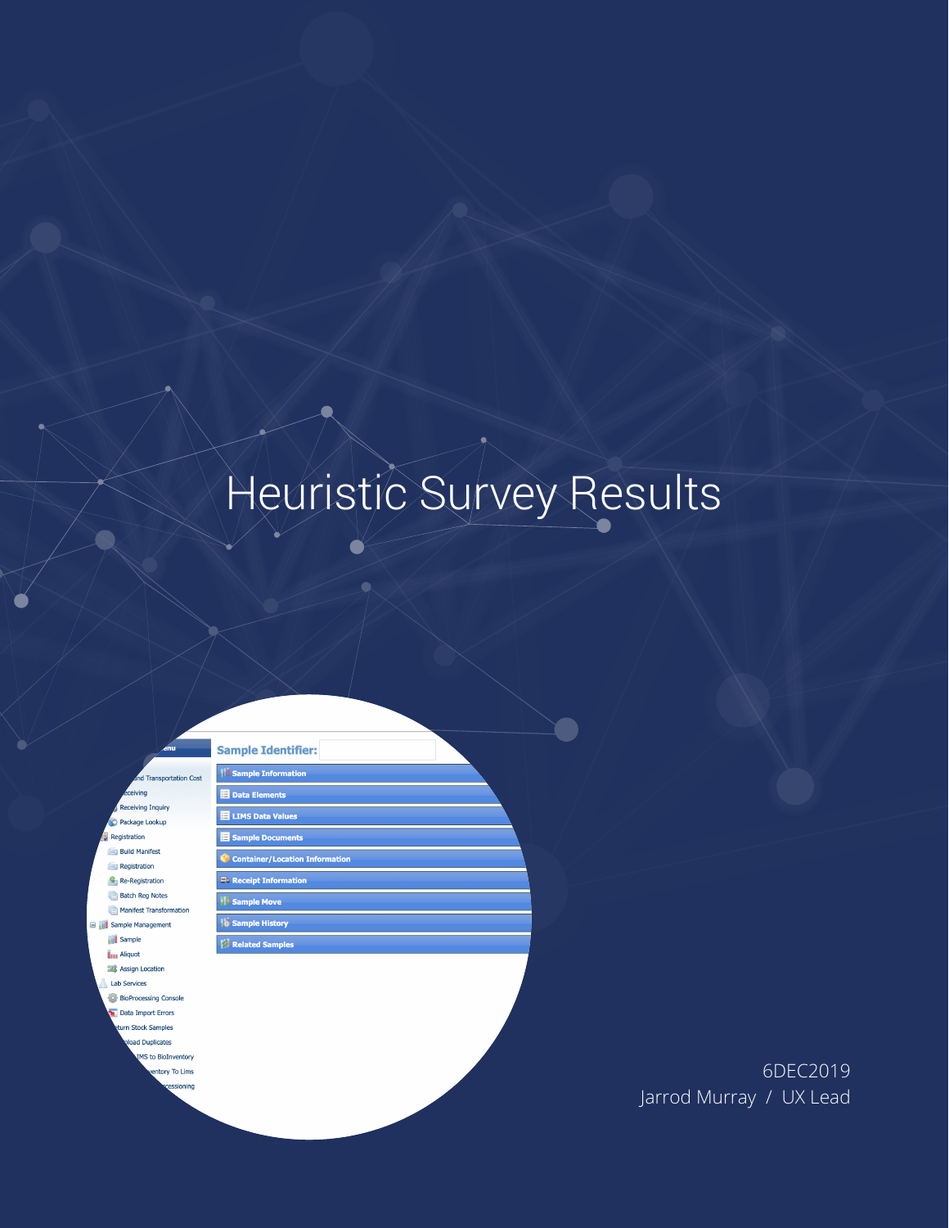# Heuristic Survey Results

**Transportation Cost** eivina iving Inquiry Package Lookup Registration **Build Manifest Registration** Re-Registration **Batch Reg Notes** Manifest Transformation **THE Sample Management IL Sample ijus** Aliquot **SC** Assign Location Lab Services **BioProcessing Console** Data Import Errors urn Stock Samples oad Duplicates **4S** to BioInventory entory To Lims ssioning

**Sample Identifier:** *Sample Information*  $\blacksquare$  Data Elements **E** LIMS Data Values Sample Documents Container/Location Information **E**V Receipt Information **Sample Move Sample History** Related Samples

> 6DEC2019 Jarrod Murray / UX Lead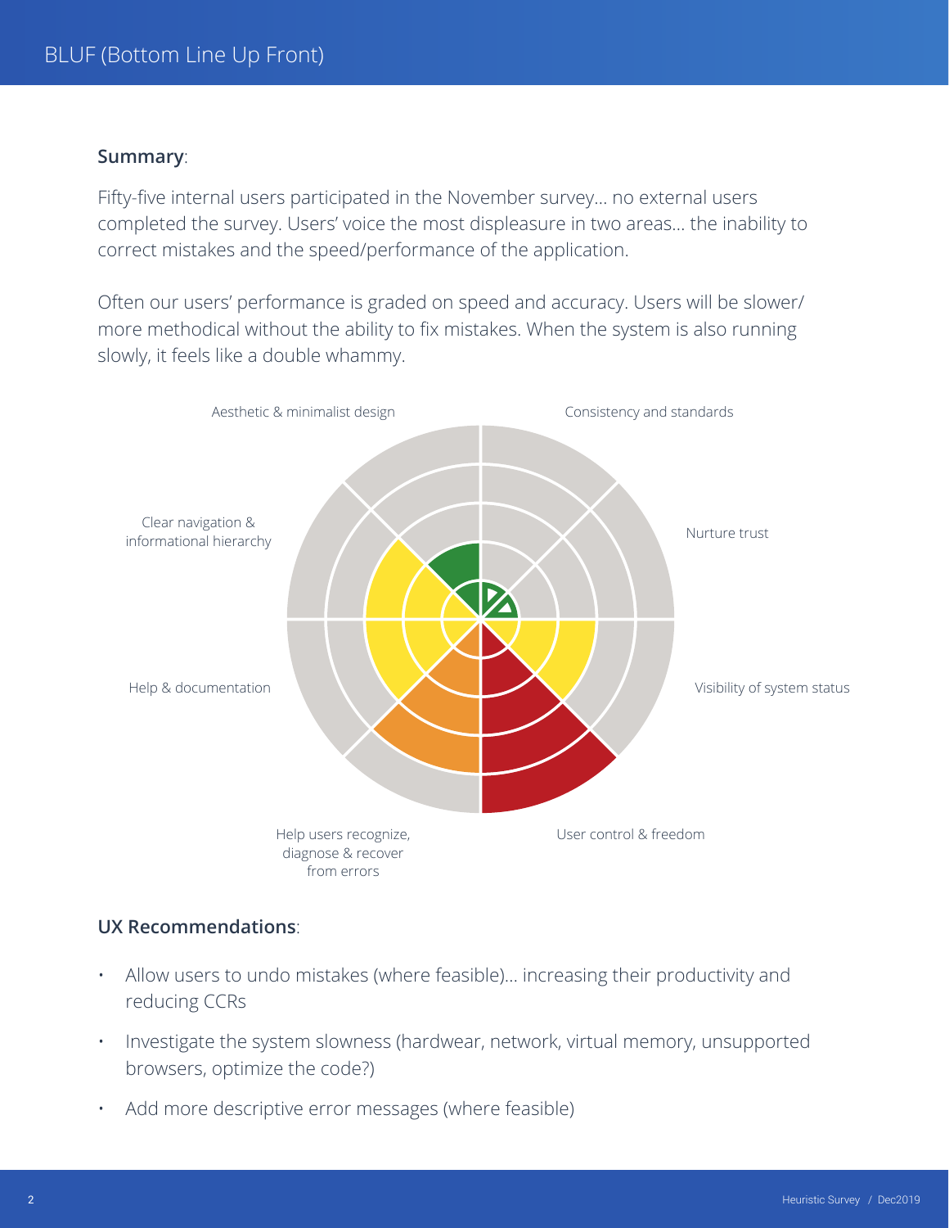#### **Summary**:

Fifty-five internal users participated in the November survey… no external users completed the survey. Users' voice the most displeasure in two areas… the inability to correct mistakes and the speed/performance of the application.

Often our users' performance is graded on speed and accuracy. Users will be slower/ more methodical without the ability to fix mistakes. When the system is also running slowly, it feels like a double whammy.



#### **UX Recommendations**:

- Allow users to undo mistakes (where feasible)… increasing their productivity and reducing CCRs
- Investigate the system slowness (hardwear, network, virtual memory, unsupported browsers, optimize the code?)
- Add more descriptive error messages (where feasible)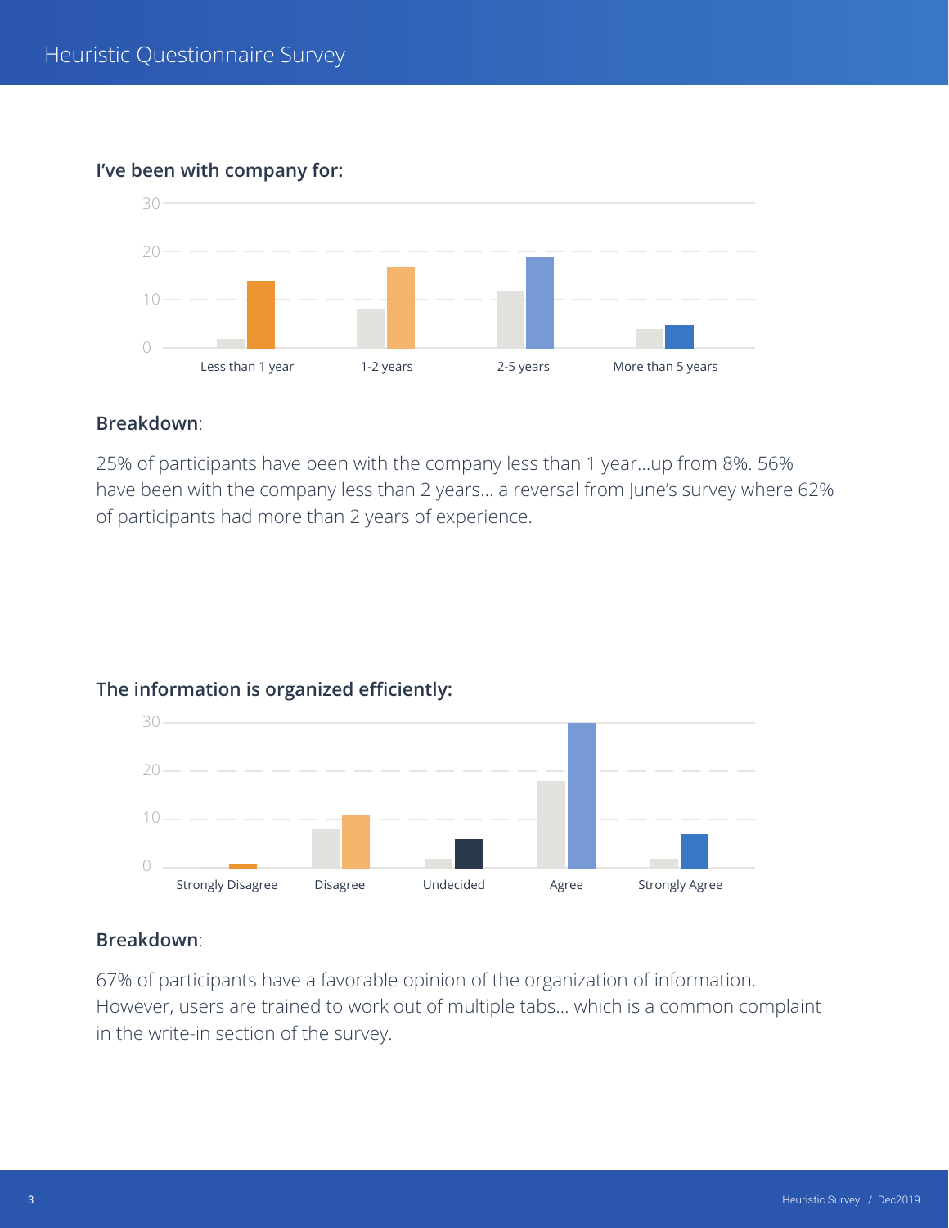## **I've been with company for:**



#### **Breakdown**:

25% of participants have been with the company less than 1 year…up from 8%. 56% have been with the company less than 2 years… a reversal from June's survey where 62% of participants had more than 2 years of experience.



## **The information is organized efficiently:**

#### **Breakdown**:

67% of participants have a favorable opinion of the organization of information. However, users are trained to work out of multiple tabs… which is a common complaint in the write-in section of the survey.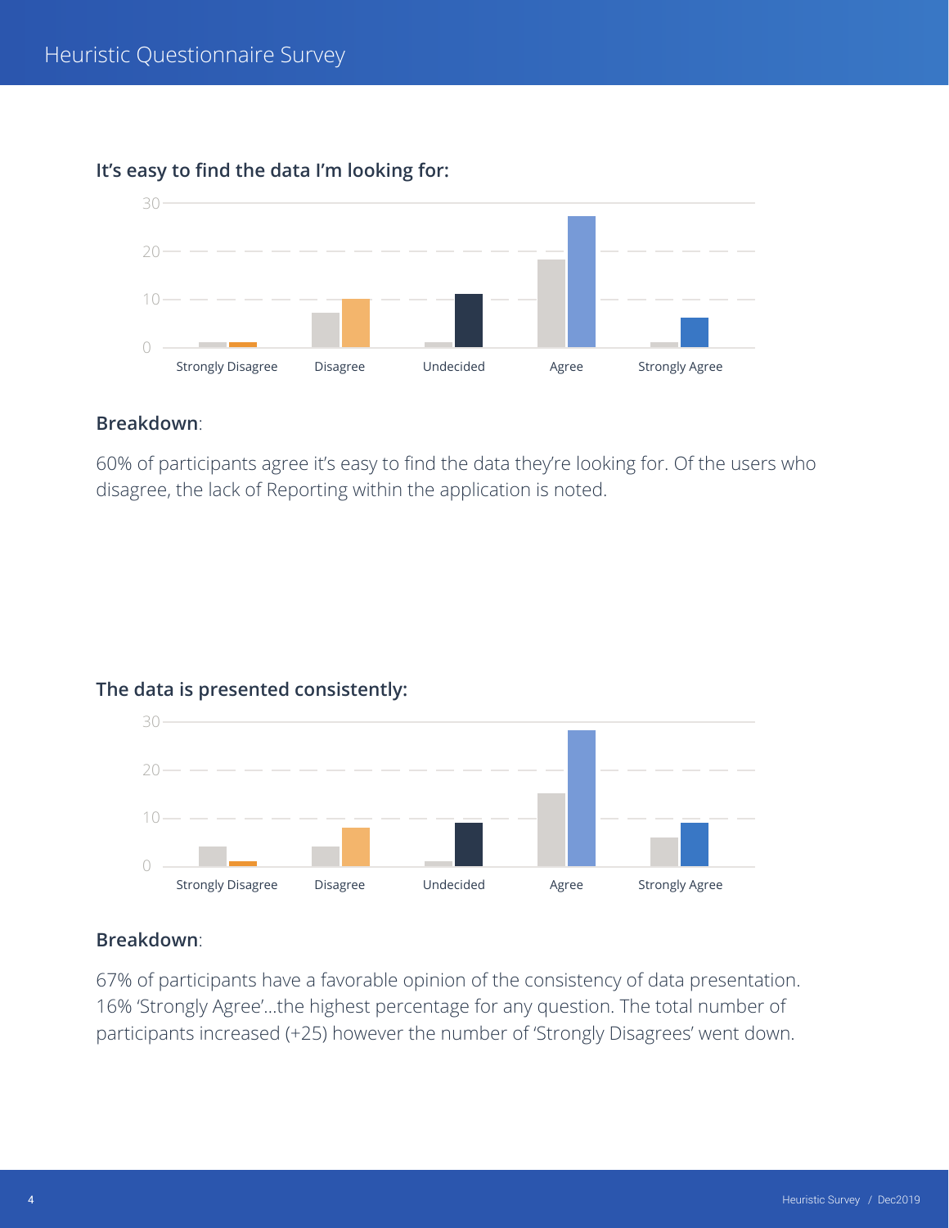

## **It's easy to find the data I'm looking for:**

#### **Breakdown**:

60% of participants agree it's easy to find the data they're looking for. Of the users who disagree, the lack of Reporting within the application is noted.





#### **Breakdown**:

67% of participants have a favorable opinion of the consistency of data presentation. 16% 'Strongly Agree'…the highest percentage for any question. The total number of participants increased (+25) however the number of 'Strongly Disagrees' went down.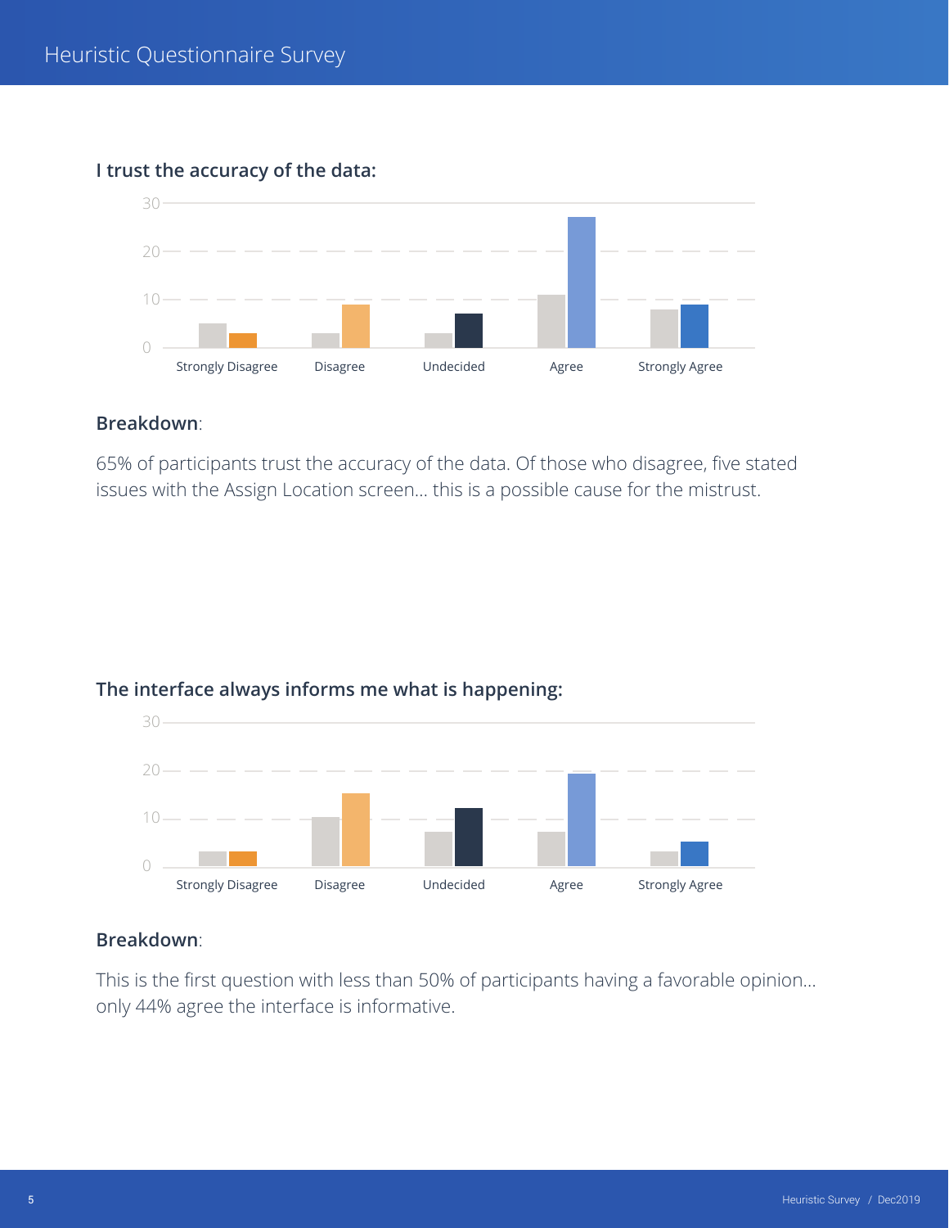

## **I trust the accuracy of the data:**

## **Breakdown**:

65% of participants trust the accuracy of the data. Of those who disagree, five stated issues with the Assign Location screen… this is a possible cause for the mistrust.



## **The interface always informs me what is happening:**

## **Breakdown**:

This is the first question with less than 50% of participants having a favorable opinion… only 44% agree the interface is informative.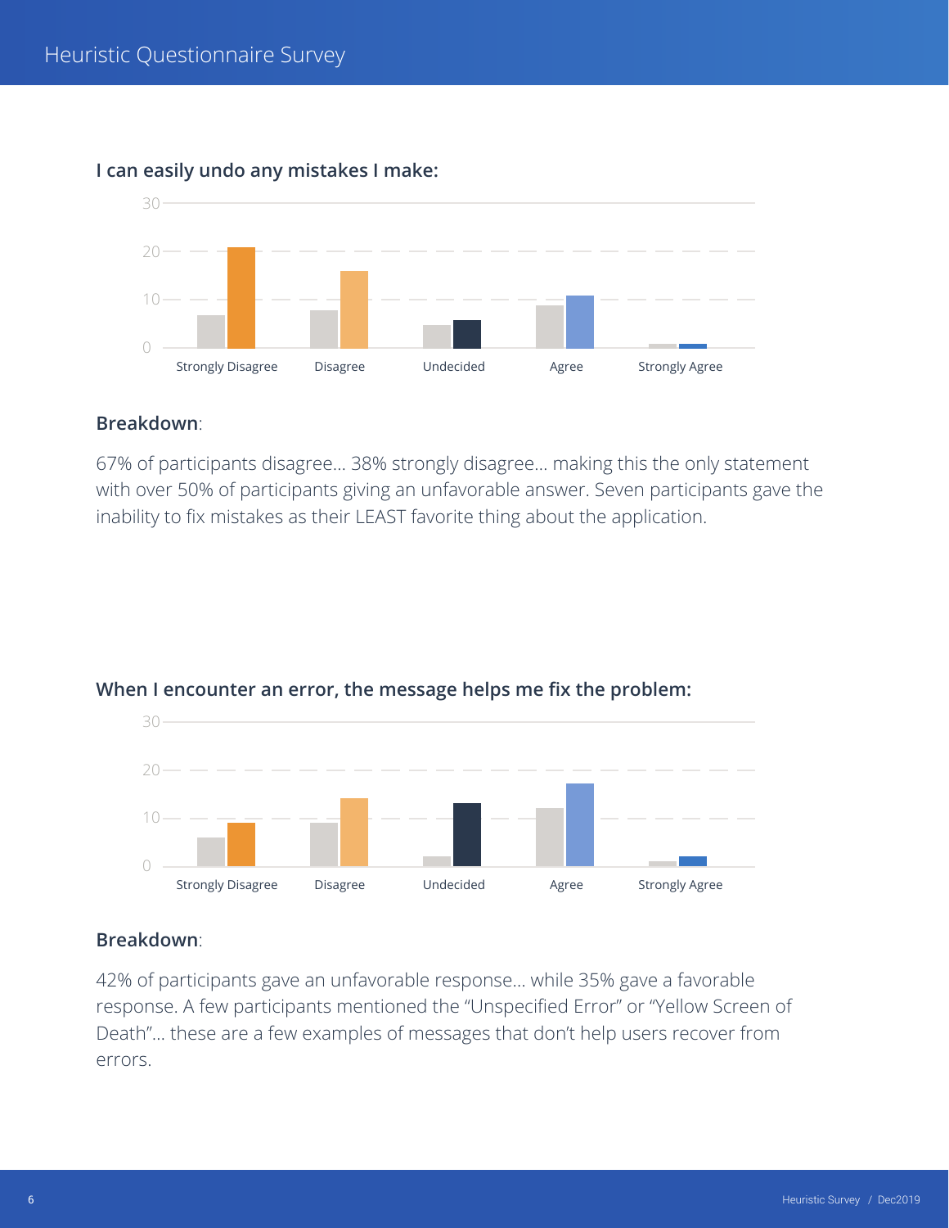

## **I can easily undo any mistakes I make:**

#### **Breakdown**:

67% of participants disagree… 38% strongly disagree… making this the only statement with over 50% of participants giving an unfavorable answer. Seven participants gave the inability to fix mistakes as their LEAST favorite thing about the application.



## **When I encounter an error, the message helps me fix the problem:**

## **Breakdown**:

42% of participants gave an unfavorable response… while 35% gave a favorable response. A few participants mentioned the "Unspecified Error" or "Yellow Screen of Death"… these are a few examples of messages that don't help users recover from errors.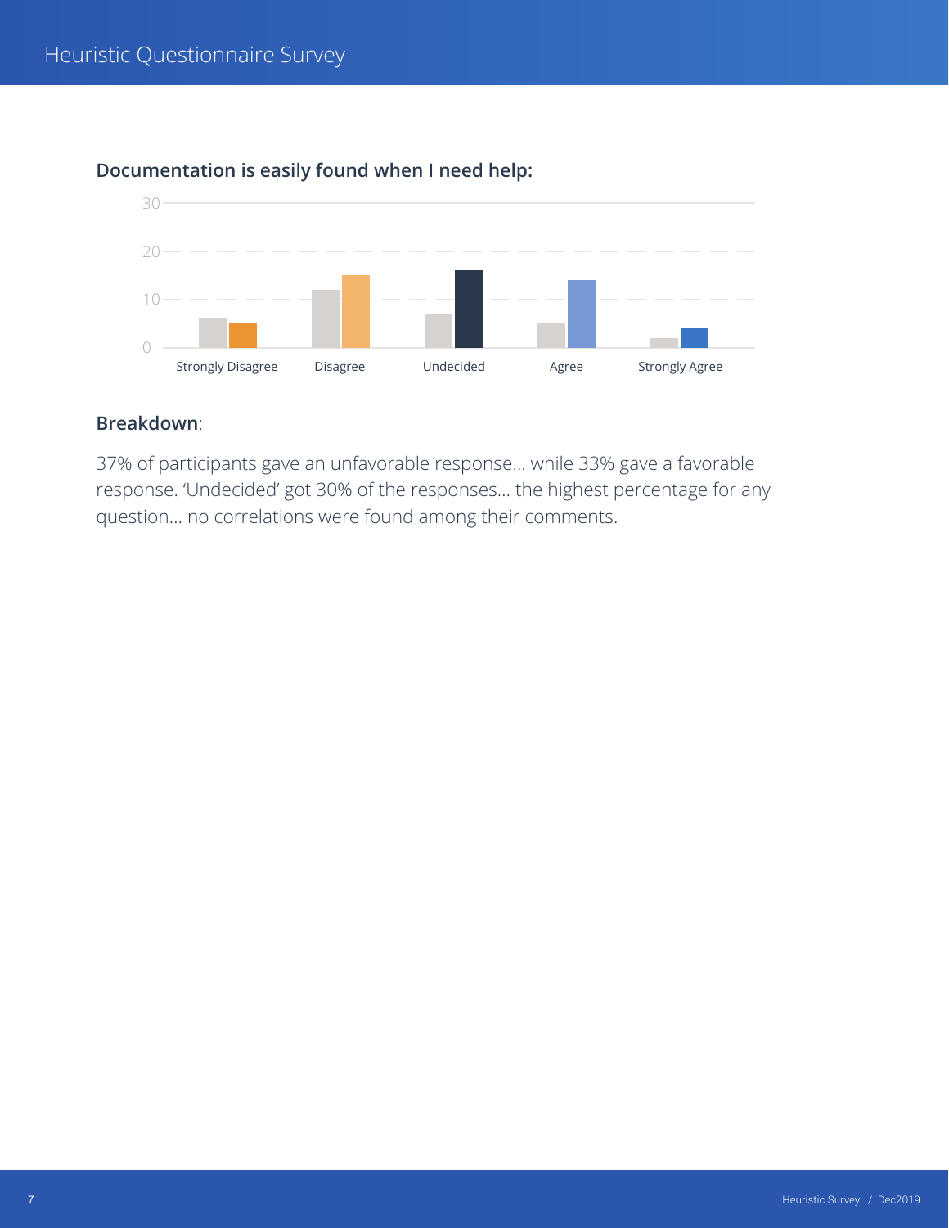

## **Documentation is easily found when I need help:**

#### **Breakdown**:

37% of participants gave an unfavorable response… while 33% gave a favorable response. 'Undecided' got 30% of the responses… the highest percentage for any question… no correlations were found among their comments.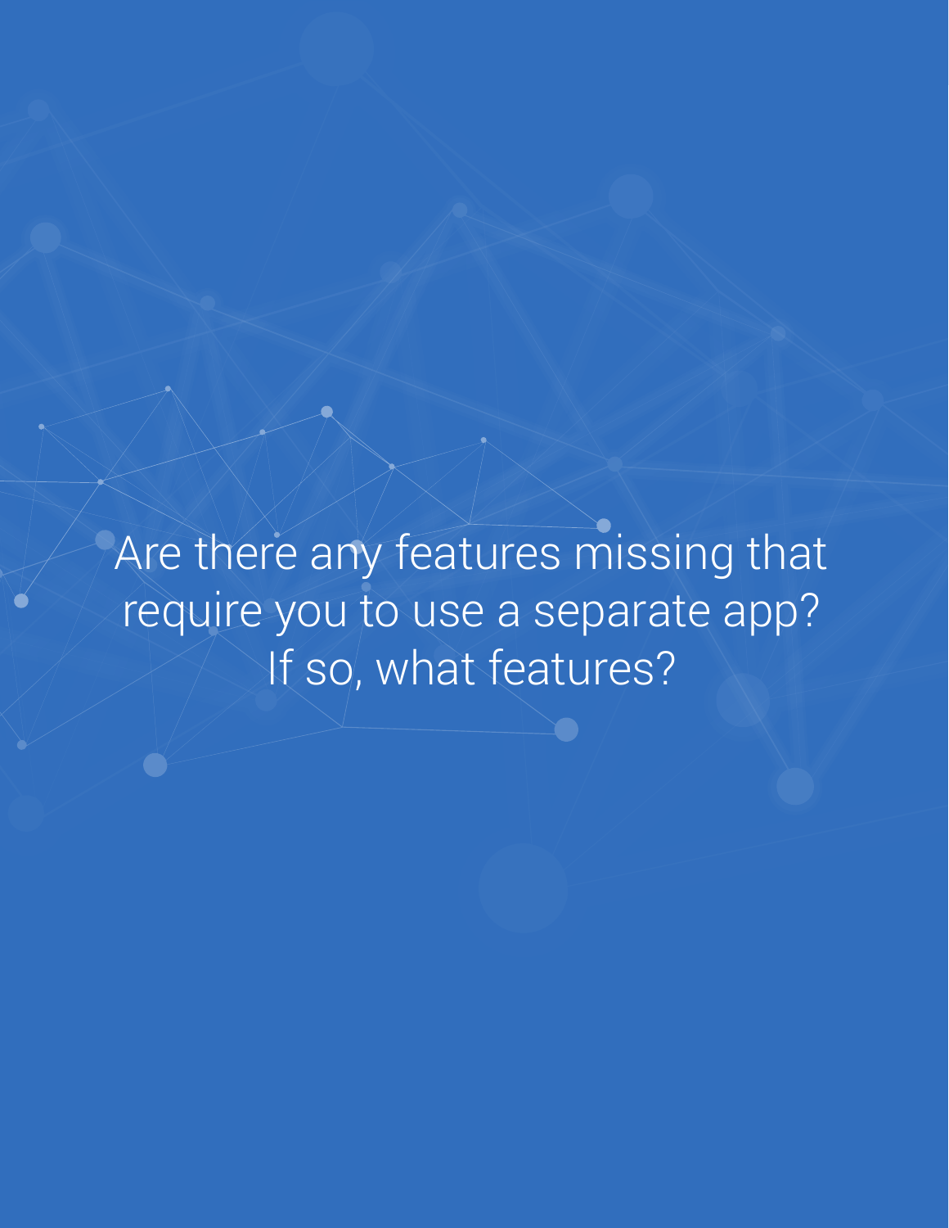Are there any features missing that require you to use a separate app? If so, what features?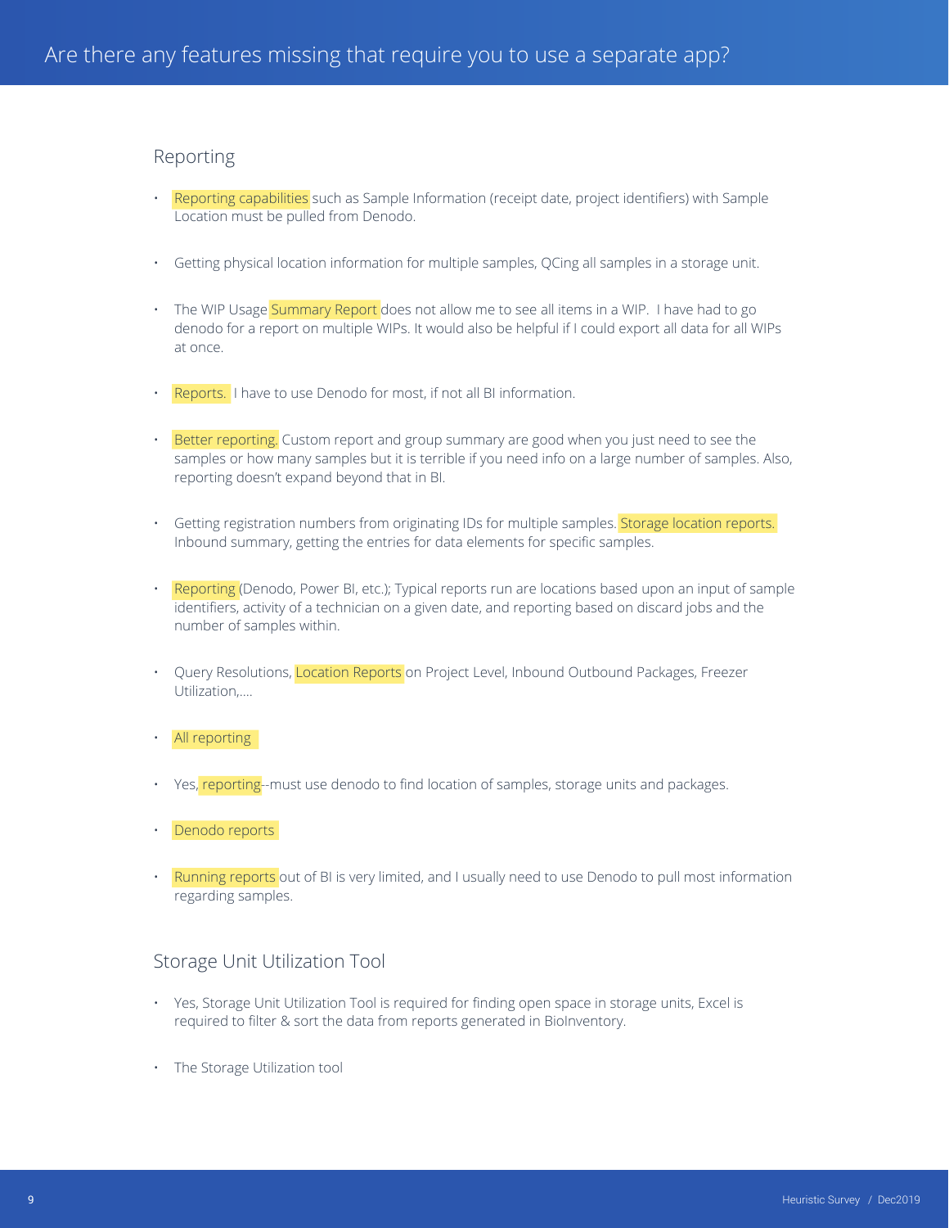#### Reporting

- Reporting capabilities such as Sample Information (receipt date, project identifiers) with Sample Location must be pulled from Denodo.
- Getting physical location information for multiple samples, QCing all samples in a storage unit.
- The WIP Usage Summary Report does not allow me to see all items in a WIP. I have had to go denodo for a report on multiple WIPs. It would also be helpful if I could export all data for all WIPs at once.
- Reports. I have to use Denodo for most, if not all BI information.
- Better reporting. Custom report and group summary are good when you just need to see the samples or how many samples but it is terrible if you need info on a large number of samples. Also, reporting doesn't expand beyond that in BI.
- Getting registration numbers from originating IDs for multiple samples. Storage location reports. Inbound summary, getting the entries for data elements for specific samples.
- Reporting (Denodo, Power BI, etc.); Typical reports run are locations based upon an input of sample identifiers, activity of a technician on a given date, and reporting based on discard jobs and the number of samples within.
- Query Resolutions, Location Reports on Project Level, Inbound Outbound Packages, Freezer Utilization,....
- All reporting
- Yes, reporting--must use denodo to find location of samples, storage units and packages.
- Denodo reports
- Running reports out of BI is very limited, and I usually need to use Denodo to pull most information regarding samples.

## Storage Unit Utilization Tool

- Yes, Storage Unit Utilization Tool is required for finding open space in storage units, Excel is required to filter & sort the data from reports generated in BioInventory.
- The Storage Utilization tool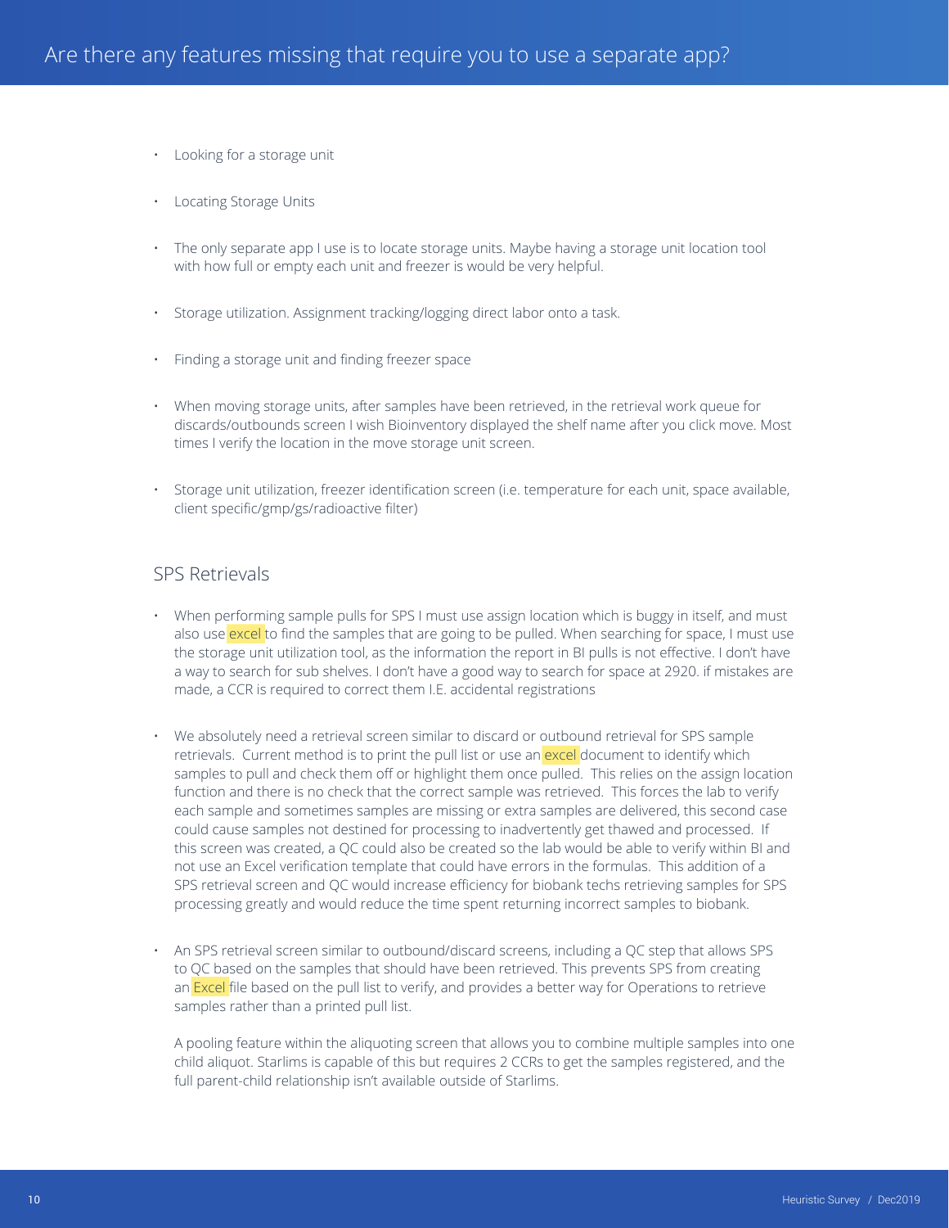- Looking for a storage unit
- Locating Storage Units
- The only separate app I use is to locate storage units. Maybe having a storage unit location tool with how full or empty each unit and freezer is would be very helpful.
- Storage utilization. Assignment tracking/logging direct labor onto a task.
- Finding a storage unit and finding freezer space
- When moving storage units, after samples have been retrieved, in the retrieval work queue for discards/outbounds screen I wish Bioinventory displayed the shelf name after you click move. Most times I verify the location in the move storage unit screen.
- Storage unit utilization, freezer identification screen (i.e. temperature for each unit, space available, client specific/gmp/gs/radioactive filter)

#### SPS Retrievals

- When performing sample pulls for SPS I must use assign location which is buggy in itself, and must also use excel to find the samples that are going to be pulled. When searching for space, I must use the storage unit utilization tool, as the information the report in BI pulls is not effective. I don't have a way to search for sub shelves. I don't have a good way to search for space at 2920. if mistakes are made, a CCR is required to correct them I.E. accidental registrations
- We absolutely need a retrieval screen similar to discard or outbound retrieval for SPS sample retrievals. Current method is to print the pull list or use an excel document to identify which samples to pull and check them off or highlight them once pulled. This relies on the assign location function and there is no check that the correct sample was retrieved. This forces the lab to verify each sample and sometimes samples are missing or extra samples are delivered, this second case could cause samples not destined for processing to inadvertently get thawed and processed. If this screen was created, a QC could also be created so the lab would be able to verify within BI and not use an Excel verification template that could have errors in the formulas. This addition of a SPS retrieval screen and QC would increase efficiency for biobank techs retrieving samples for SPS processing greatly and would reduce the time spent returning incorrect samples to biobank.
- An SPS retrieval screen similar to outbound/discard screens, including a QC step that allows SPS to QC based on the samples that should have been retrieved. This prevents SPS from creating an Excel file based on the pull list to verify, and provides a better way for Operations to retrieve samples rather than a printed pull list.

A pooling feature within the aliquoting screen that allows you to combine multiple samples into one child aliquot. Starlims is capable of this but requires 2 CCRs to get the samples registered, and the full parent-child relationship isn't available outside of Starlims.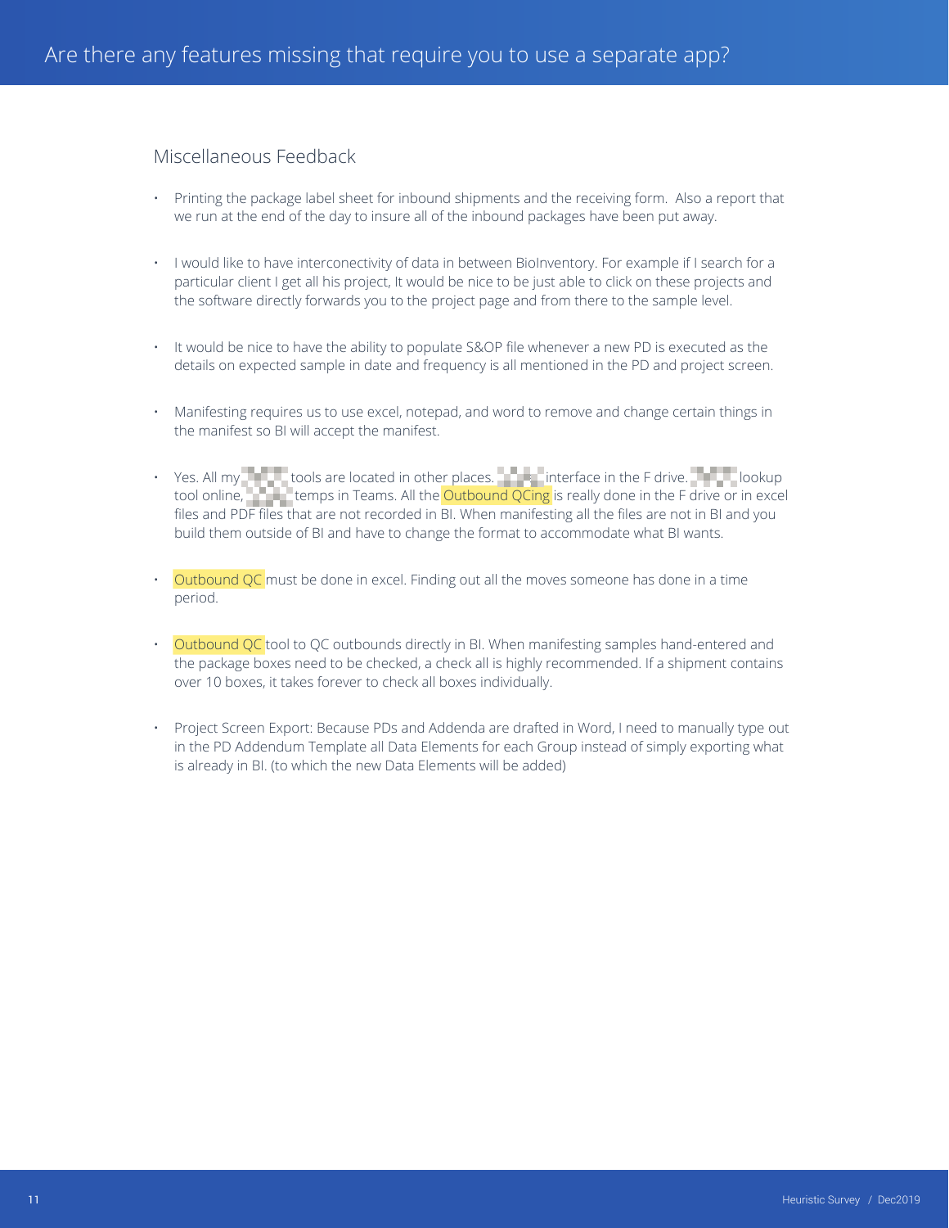## Miscellaneous Feedback

- Printing the package label sheet for inbound shipments and the receiving form. Also a report that we run at the end of the day to insure all of the inbound packages have been put away.
- I would like to have interconectivity of data in between BioInventory. For example if I search for a particular client I get all his project, It would be nice to be just able to click on these projects and the software directly forwards you to the project page and from there to the sample level.
- It would be nice to have the ability to populate S&OP file whenever a new PD is executed as the details on expected sample in date and frequency is all mentioned in the PD and project screen.
- Manifesting requires us to use excel, notepad, and word to remove and change certain things in the manifest so BI will accept the manifest.
- Yes. All my Amgen tools are located in other places. An aminterface in the F drive. Amgel lookup tool online, **Amgen temps in Teams. All the Outbound QCing** is really done in the F drive or in excel files and PDF files that are not recorded in BI. When manifesting all the files are not in BI and you build them outside of BI and have to change the format to accommodate what BI wants.
- Outbound QC must be done in excel. Finding out all the moves someone has done in a time period.
- Outbound QC tool to QC outbounds directly in BI. When manifesting samples hand-entered and the package boxes need to be checked, a check all is highly recommended. If a shipment contains over 10 boxes, it takes forever to check all boxes individually.
- Project Screen Export: Because PDs and Addenda are drafted in Word, I need to manually type out in the PD Addendum Template all Data Elements for each Group instead of simply exporting what is already in BI. (to which the new Data Elements will be added)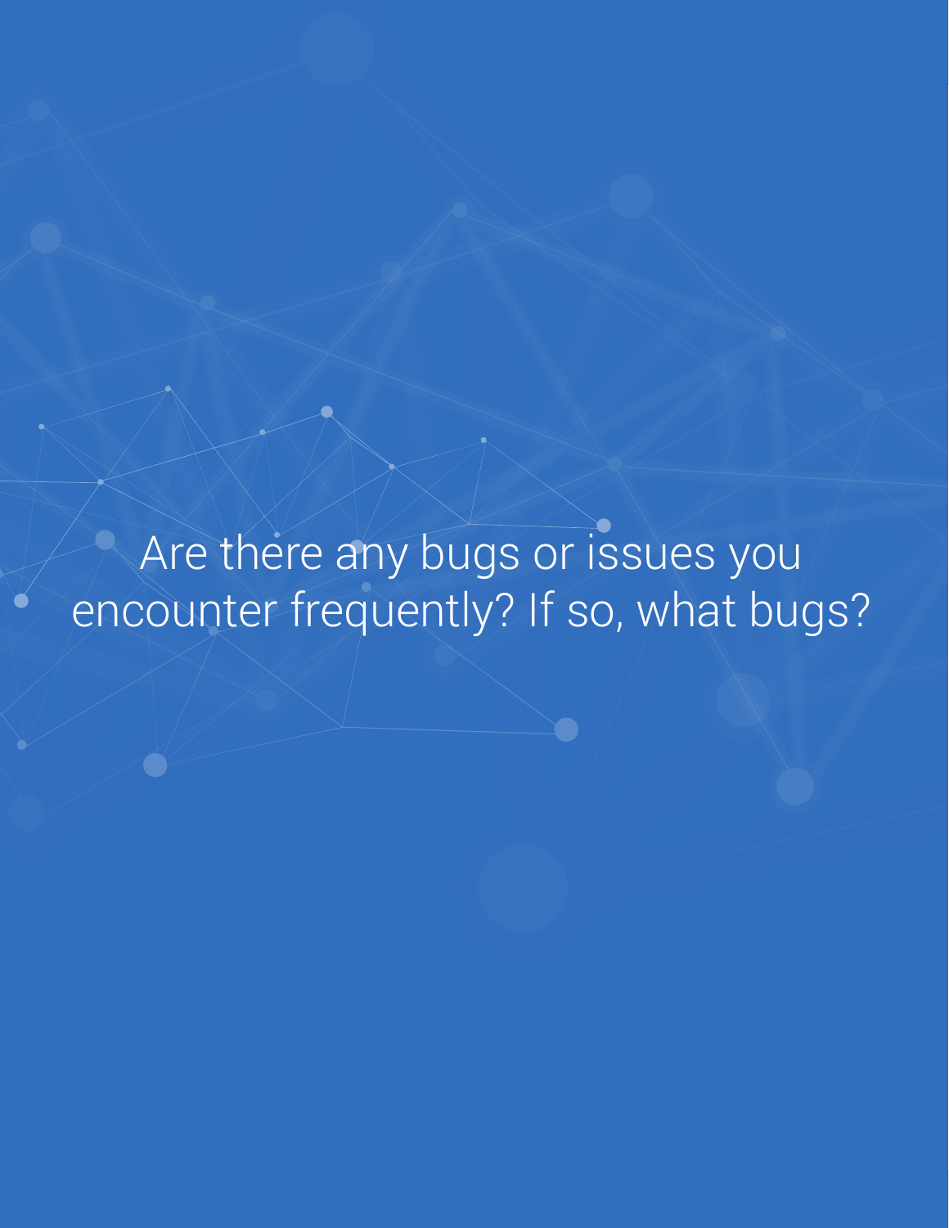Are there any bugs or issues you encounter frequently? If so, what bugs?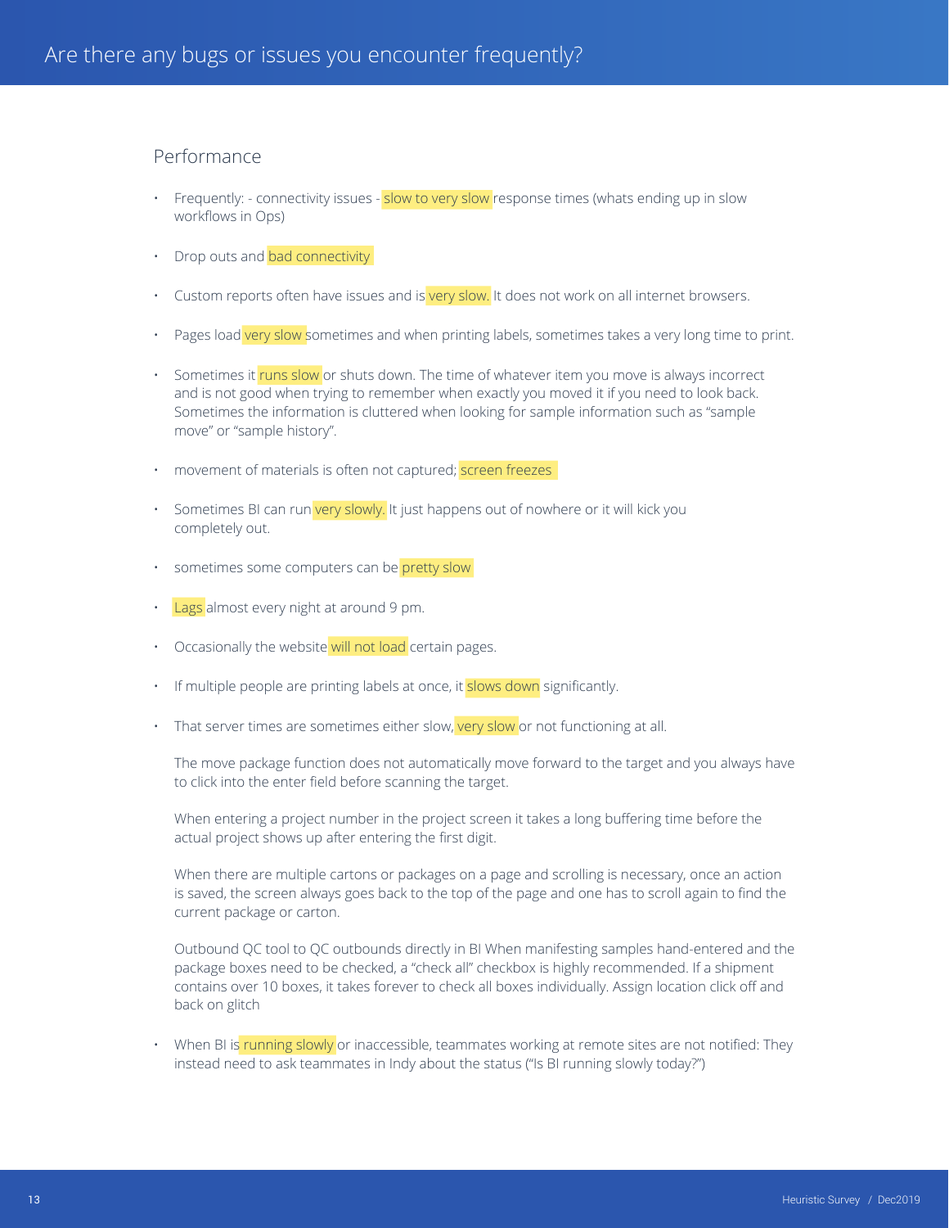## Performance

- Frequently: connectivity issues slow to very slow response times (whats ending up in slow workflows in Ops)
- Drop outs and bad connectivity
- Custom reports often have issues and is very slow. It does not work on all internet browsers.
- Pages load very slow sometimes and when printing labels, sometimes takes a very long time to print.
- Sometimes it runs slow or shuts down. The time of whatever item you move is always incorrect and is not good when trying to remember when exactly you moved it if you need to look back. Sometimes the information is cluttered when looking for sample information such as "sample move" or "sample history".
- movement of materials is often not captured; screen freezes
- Sometimes BI can run very slowly. It just happens out of nowhere or it will kick you completely out.
- sometimes some computers can be pretty slow
- Lags almost every night at around 9 pm.
- Occasionally the website will not load certain pages.
- If multiple people are printing labels at once, it slows down significantly.
- That server times are sometimes either slow, very slow or not functioning at all.

The move package function does not automatically move forward to the target and you always have to click into the enter field before scanning the target.

When entering a project number in the project screen it takes a long buffering time before the actual project shows up after entering the first digit.

When there are multiple cartons or packages on a page and scrolling is necessary, once an action is saved, the screen always goes back to the top of the page and one has to scroll again to find the current package or carton.

Outbound QC tool to QC outbounds directly in BI When manifesting samples hand-entered and the package boxes need to be checked, a "check all" checkbox is highly recommended. If a shipment contains over 10 boxes, it takes forever to check all boxes individually. Assign location click off and back on glitch

When BI is running slowly or inaccessible, teammates working at remote sites are not notified: They instead need to ask teammates in Indy about the status ("Is BI running slowly today?")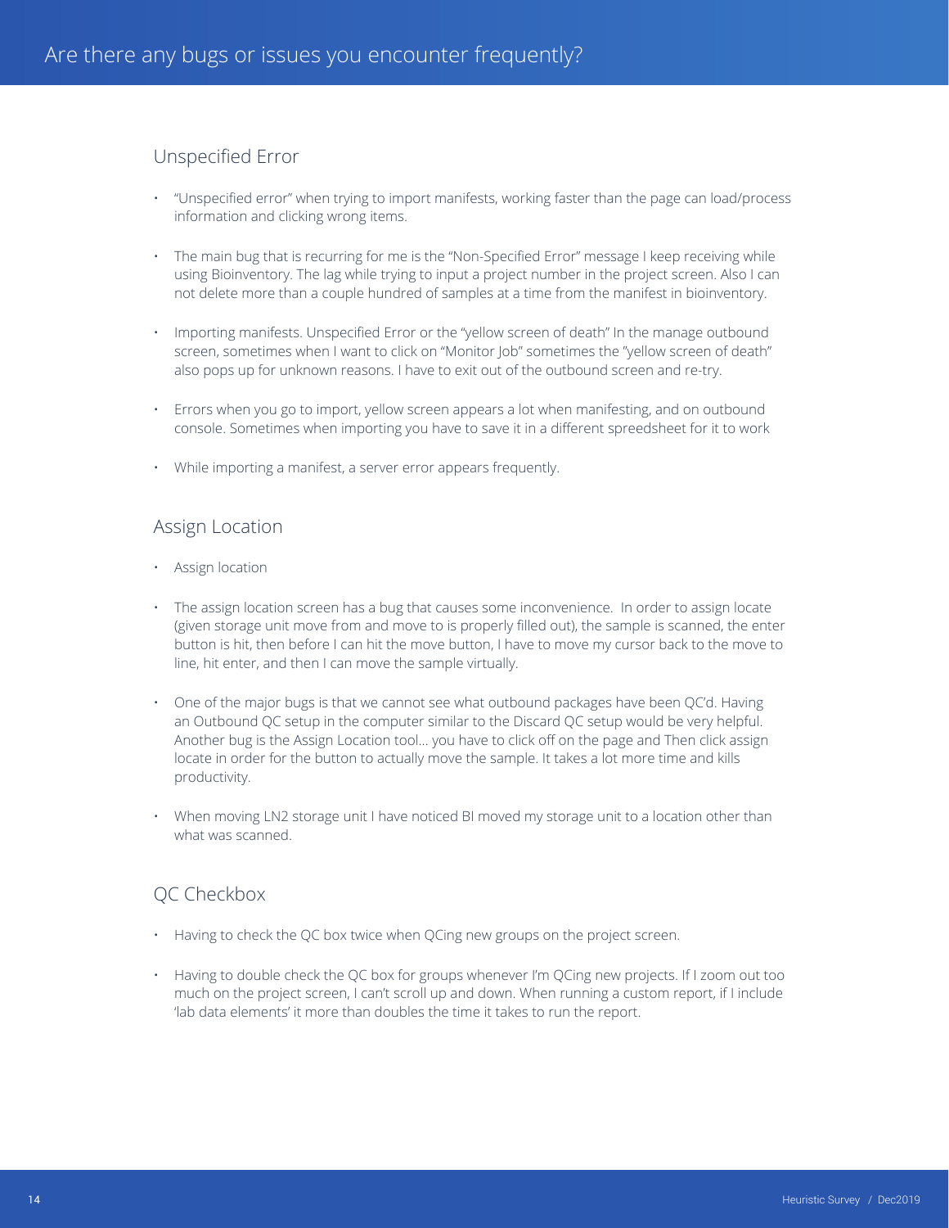## Unspecified Error

- "Unspecified error" when trying to import manifests, working faster than the page can load/process information and clicking wrong items.
- The main bug that is recurring for me is the "Non-Specified Error" message I keep receiving while using Bioinventory. The lag while trying to input a project number in the project screen. Also I can not delete more than a couple hundred of samples at a time from the manifest in bioinventory.
- Importing manifests. Unspecified Error or the "yellow screen of death" In the manage outbound screen, sometimes when I want to click on "Monitor Job" sometimes the "yellow screen of death" also pops up for unknown reasons. I have to exit out of the outbound screen and re-try.
- Errors when you go to import, yellow screen appears a lot when manifesting, and on outbound console. Sometimes when importing you have to save it in a different spreedsheet for it to work
- While importing a manifest, a server error appears frequently.

#### Assign Location

- Assign location
- The assign location screen has a bug that causes some inconvenience. In order to assign locate (given storage unit move from and move to is properly filled out), the sample is scanned, the enter button is hit, then before I can hit the move button, I have to move my cursor back to the move to line, hit enter, and then I can move the sample virtually.
- One of the major bugs is that we cannot see what outbound packages have been QC'd. Having an Outbound QC setup in the computer similar to the Discard QC setup would be very helpful. Another bug is the Assign Location tool… you have to click off on the page and Then click assign locate in order for the button to actually move the sample. It takes a lot more time and kills productivity.
- When moving LN2 storage unit I have noticed BI moved my storage unit to a location other than what was scanned.

## QC Checkbox

- Having to check the QC box twice when QCing new groups on the project screen.
- Having to double check the QC box for groups whenever I'm QCing new projects. If I zoom out too much on the project screen, I can't scroll up and down. When running a custom report, if I include 'lab data elements' it more than doubles the time it takes to run the report.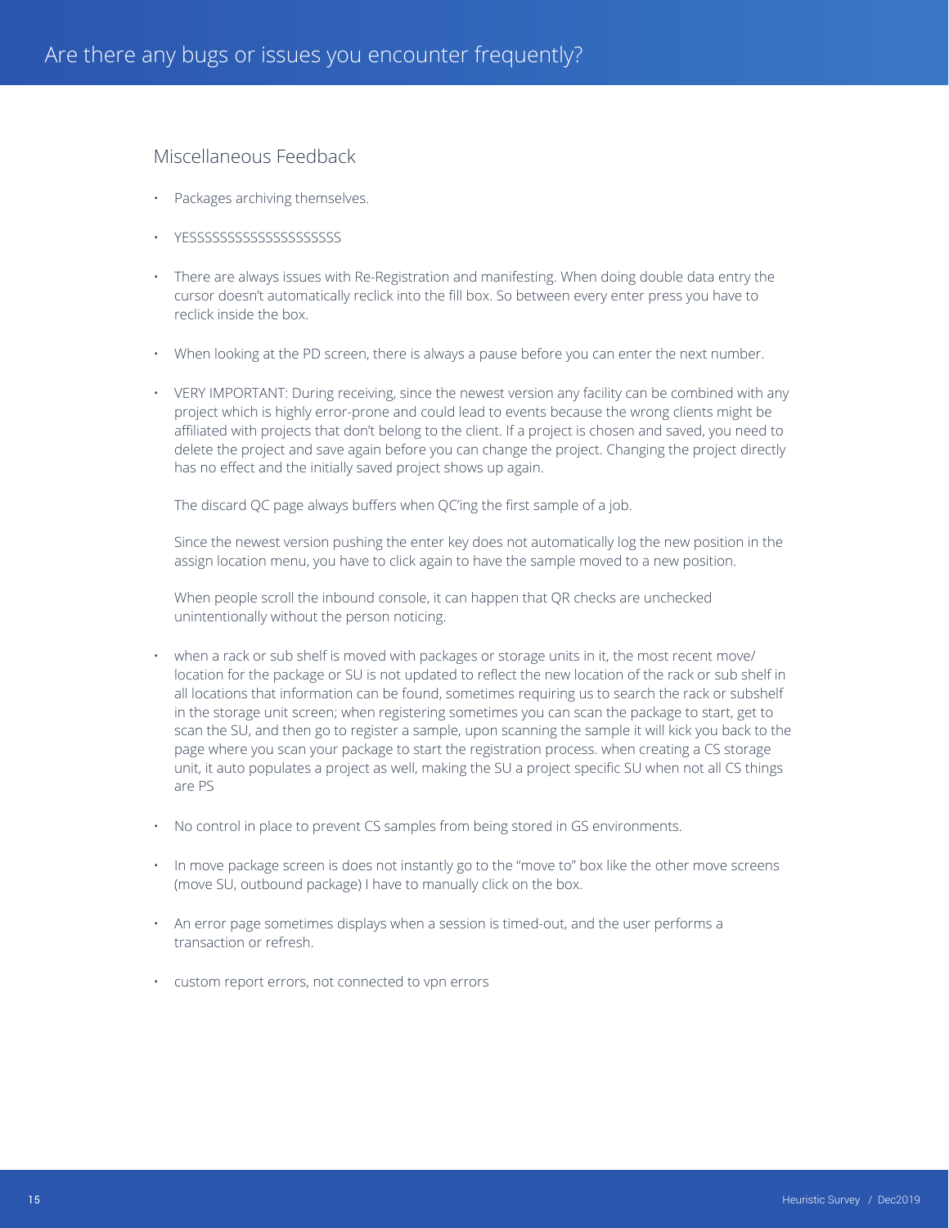## Miscellaneous Feedback

- Packages archiving themselves.
- YESSSSSSSSSSSSSSSSSSSS
- There are always issues with Re-Registration and manifesting. When doing double data entry the cursor doesn't automatically reclick into the fill box. So between every enter press you have to reclick inside the box.
- When looking at the PD screen, there is always a pause before you can enter the next number.
- VERY IMPORTANT: During receiving, since the newest version any facility can be combined with any project which is highly error-prone and could lead to events because the wrong clients might be affiliated with projects that don't belong to the client. If a project is chosen and saved, you need to delete the project and save again before you can change the project. Changing the project directly has no effect and the initially saved project shows up again.

The discard QC page always buffers when QC'ing the first sample of a job.

Since the newest version pushing the enter key does not automatically log the new position in the assign location menu, you have to click again to have the sample moved to a new position.

When people scroll the inbound console, it can happen that QR checks are unchecked unintentionally without the person noticing.

- when a rack or sub shelf is moved with packages or storage units in it, the most recent move/ location for the package or SU is not updated to reflect the new location of the rack or sub shelf in all locations that information can be found, sometimes requiring us to search the rack or subshelf in the storage unit screen; when registering sometimes you can scan the package to start, get to scan the SU, and then go to register a sample, upon scanning the sample it will kick you back to the page where you scan your package to start the registration process. when creating a CS storage unit, it auto populates a project as well, making the SU a project specific SU when not all CS things are PS
- No control in place to prevent CS samples from being stored in GS environments.
- In move package screen is does not instantly go to the "move to" box like the other move screens (move SU, outbound package) I have to manually click on the box.
- An error page sometimes displays when a session is timed-out, and the user performs a transaction or refresh.
- custom report errors, not connected to vpn errors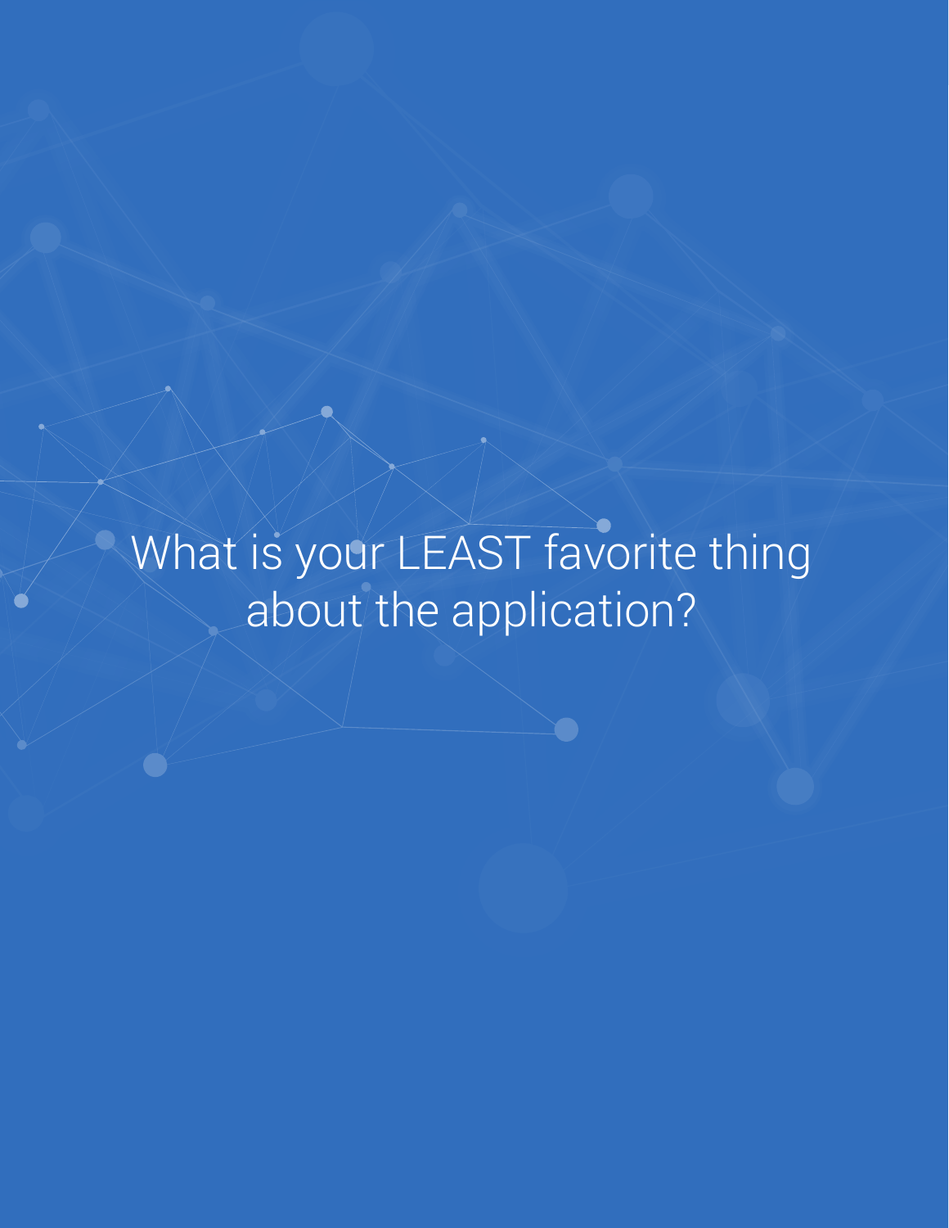What is your LEAST favorite thing about the application?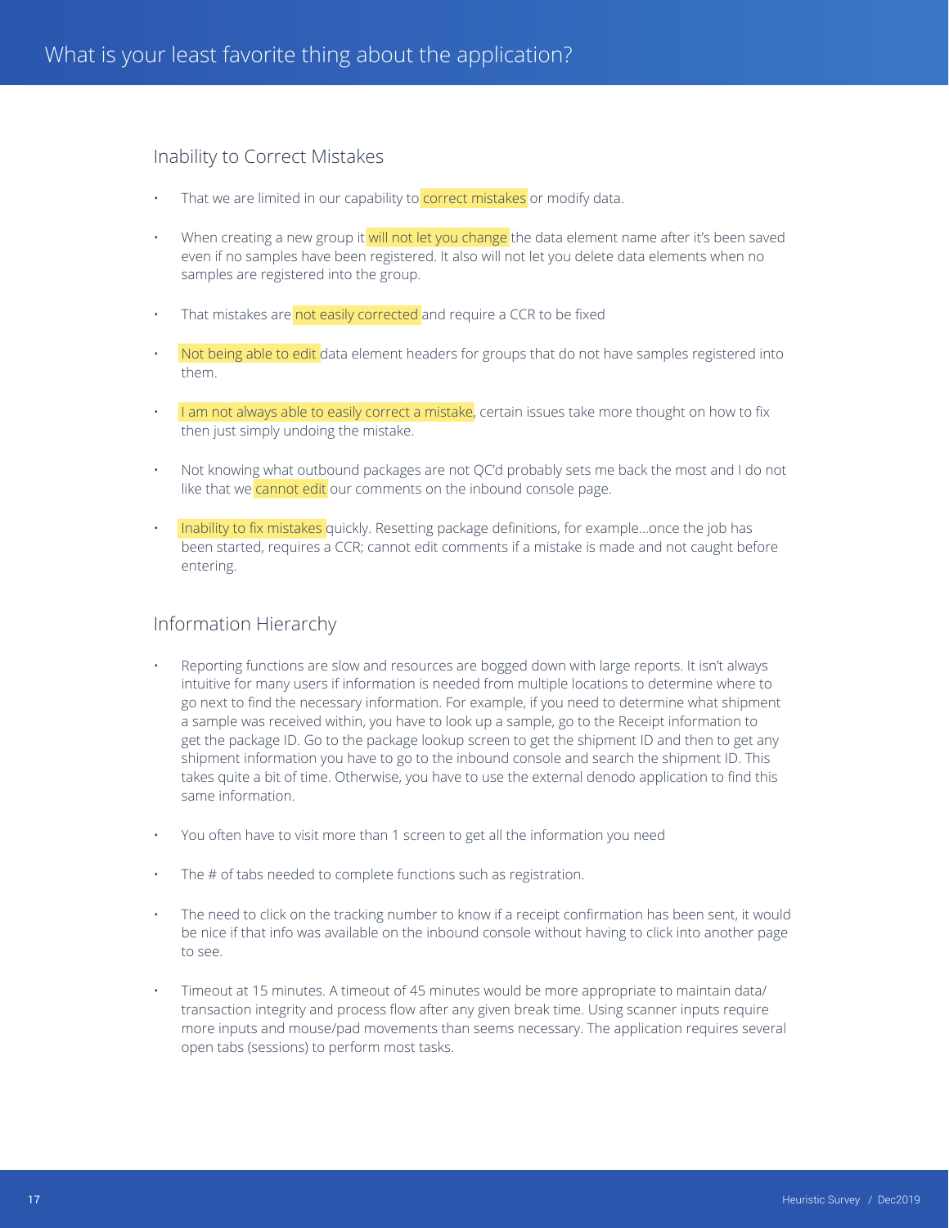## Inability to Correct Mistakes

- That we are limited in our capability to **correct mistakes** or modify data.
- When creating a new group it will not let you change the data element name after it's been saved even if no samples have been registered. It also will not let you delete data elements when no samples are registered into the group.
- That mistakes are not easily corrected and require a CCR to be fixed
- Not being able to edit data element headers for groups that do not have samples registered into them.
- I am not always able to easily correct a mistake, certain issues take more thought on how to fix then just simply undoing the mistake.
- Not knowing what outbound packages are not QC'd probably sets me back the most and I do not like that we cannot edit our comments on the inbound console page.
- Inability to fix mistakes quickly. Resetting package definitions, for example...once the job has been started, requires a CCR; cannot edit comments if a mistake is made and not caught before entering.

## Information Hierarchy

- Reporting functions are slow and resources are bogged down with large reports. It isn't always intuitive for many users if information is needed from multiple locations to determine where to go next to find the necessary information. For example, if you need to determine what shipment a sample was received within, you have to look up a sample, go to the Receipt information to get the package ID. Go to the package lookup screen to get the shipment ID and then to get any shipment information you have to go to the inbound console and search the shipment ID. This takes quite a bit of time. Otherwise, you have to use the external denodo application to find this same information.
- You often have to visit more than 1 screen to get all the information you need
- The # of tabs needed to complete functions such as registration.
- The need to click on the tracking number to know if a receipt confirmation has been sent, it would be nice if that info was available on the inbound console without having to click into another page to see.
- Timeout at 15 minutes. A timeout of 45 minutes would be more appropriate to maintain data/ transaction integrity and process flow after any given break time. Using scanner inputs require more inputs and mouse/pad movements than seems necessary. The application requires several open tabs (sessions) to perform most tasks.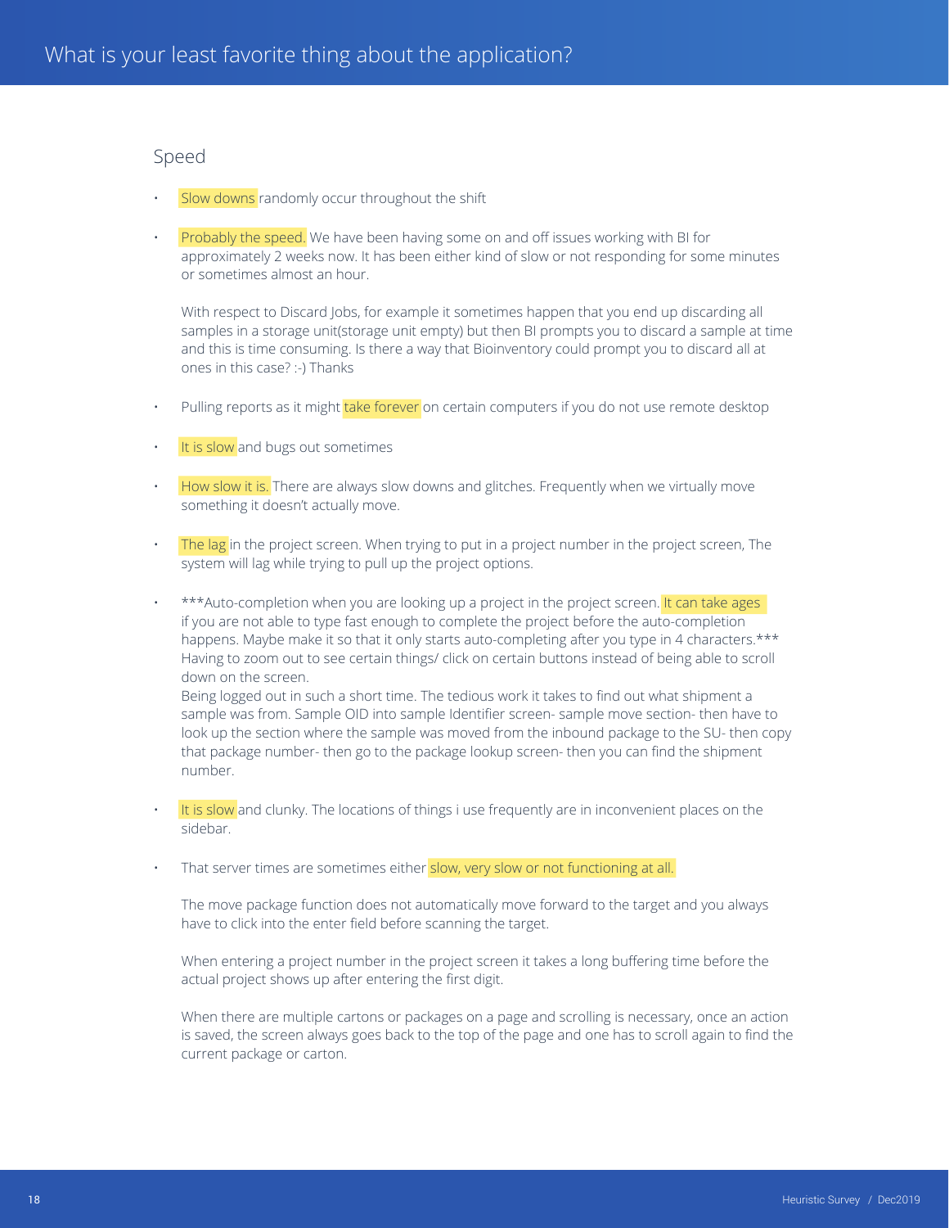#### Speed

- Slow downs randomly occur throughout the shift
- Probably the speed. We have been having some on and off issues working with BI for approximately 2 weeks now. It has been either kind of slow or not responding for some minutes or sometimes almost an hour.

With respect to Discard Jobs, for example it sometimes happen that you end up discarding all samples in a storage unit(storage unit empty) but then BI prompts you to discard a sample at time and this is time consuming. Is there a way that Bioinventory could prompt you to discard all at ones in this case? :-) Thanks

- Pulling reports as it might take forever on certain computers if you do not use remote desktop
- It is slow and bugs out sometimes
- How slow it is. There are always slow downs and glitches. Frequently when we virtually move something it doesn't actually move.
- The lag in the project screen. When trying to put in a project number in the project screen, The system will lag while trying to pull up the project options.
- \*\*\*Auto-completion when you are looking up a project in the project screen. It can take ages if you are not able to type fast enough to complete the project before the auto-completion happens. Maybe make it so that it only starts auto-completing after you type in 4 characters.\*\*\* Having to zoom out to see certain things/ click on certain buttons instead of being able to scroll down on the screen. Being logged out in such a short time. The tedious work it takes to find out what shipment a

sample was from. Sample OID into sample Identifier screen- sample move section- then have to look up the section where the sample was moved from the inbound package to the SU- then copy that package number- then go to the package lookup screen- then you can find the shipment number.

- It is slow and clunky. The locations of things i use frequently are in inconvenient places on the sidebar.
- That server times are sometimes either slow, very slow or not functioning at all.

The move package function does not automatically move forward to the target and you always have to click into the enter field before scanning the target.

When entering a project number in the project screen it takes a long buffering time before the actual project shows up after entering the first digit.

When there are multiple cartons or packages on a page and scrolling is necessary, once an action is saved, the screen always goes back to the top of the page and one has to scroll again to find the current package or carton.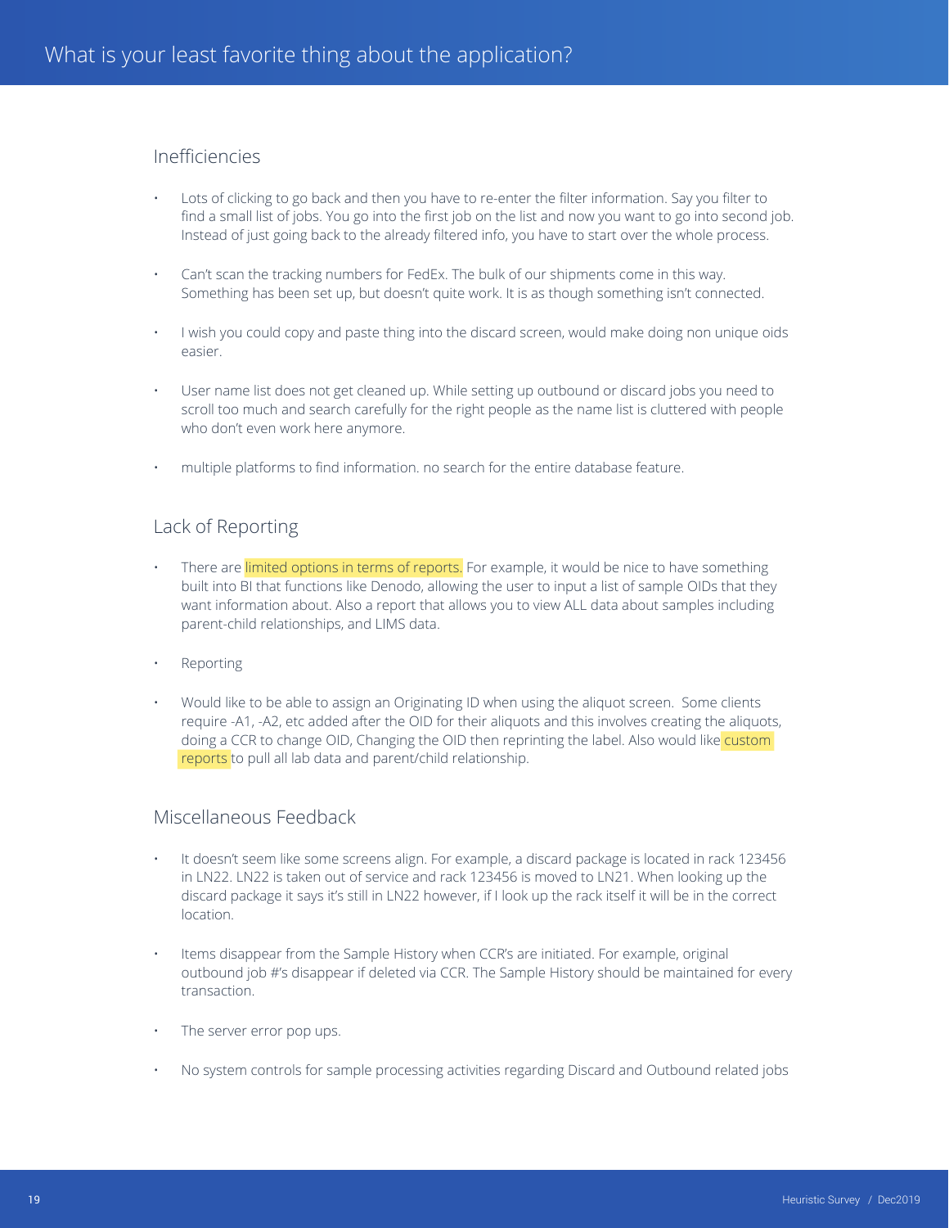## Inefficiencies

- Lots of clicking to go back and then you have to re-enter the filter information. Say you filter to find a small list of jobs. You go into the first job on the list and now you want to go into second job. Instead of just going back to the already filtered info, you have to start over the whole process.
- Can't scan the tracking numbers for FedEx. The bulk of our shipments come in this way. Something has been set up, but doesn't quite work. It is as though something isn't connected.
- I wish you could copy and paste thing into the discard screen, would make doing non unique oids easier.
- User name list does not get cleaned up. While setting up outbound or discard jobs you need to scroll too much and search carefully for the right people as the name list is cluttered with people who don't even work here anymore.
- multiple platforms to find information. no search for the entire database feature.

## Lack of Reporting

- There are limited options in terms of reports. For example, it would be nice to have something built into BI that functions like Denodo, allowing the user to input a list of sample OIDs that they want information about. Also a report that allows you to view ALL data about samples including parent-child relationships, and LIMS data.
- **Reporting**
- Would like to be able to assign an Originating ID when using the aliquot screen. Some clients require -A1, -A2, etc added after the OID for their aliquots and this involves creating the aliquots, doing a CCR to change OID, Changing the OID then reprinting the label. Also would like custom reports to pull all lab data and parent/child relationship.

#### Miscellaneous Feedback

- It doesn't seem like some screens align. For example, a discard package is located in rack 123456 in LN22. LN22 is taken out of service and rack 123456 is moved to LN21. When looking up the discard package it says it's still in LN22 however, if I look up the rack itself it will be in the correct location.
- Items disappear from the Sample History when CCR's are initiated. For example, original outbound job #'s disappear if deleted via CCR. The Sample History should be maintained for every transaction.
- The server error pop ups.
- No system controls for sample processing activities regarding Discard and Outbound related jobs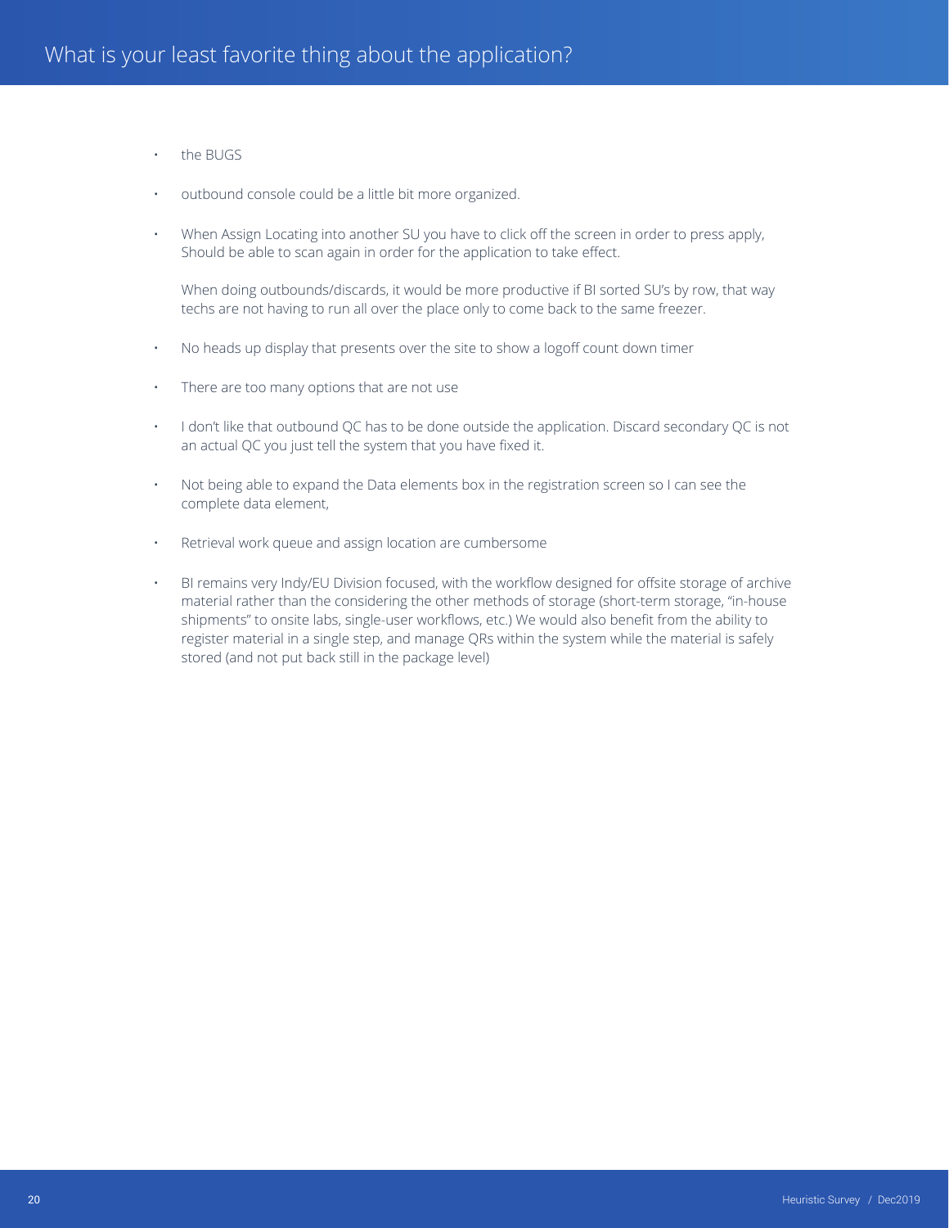- the BUGS
- outbound console could be a little bit more organized.
- When Assign Locating into another SU you have to click off the screen in order to press apply, Should be able to scan again in order for the application to take effect.

When doing outbounds/discards, it would be more productive if BI sorted SU's by row, that way techs are not having to run all over the place only to come back to the same freezer.

- No heads up display that presents over the site to show a logoff count down timer
- There are too many options that are not use
- I don't like that outbound QC has to be done outside the application. Discard secondary QC is not an actual QC you just tell the system that you have fixed it.
- Not being able to expand the Data elements box in the registration screen so I can see the complete data element,
- Retrieval work queue and assign location are cumbersome
- BI remains very Indy/EU Division focused, with the workflow designed for offsite storage of archive material rather than the considering the other methods of storage (short-term storage, "in-house shipments" to onsite labs, single-user workflows, etc.) We would also benefit from the ability to register material in a single step, and manage QRs within the system while the material is safely stored (and not put back still in the package level)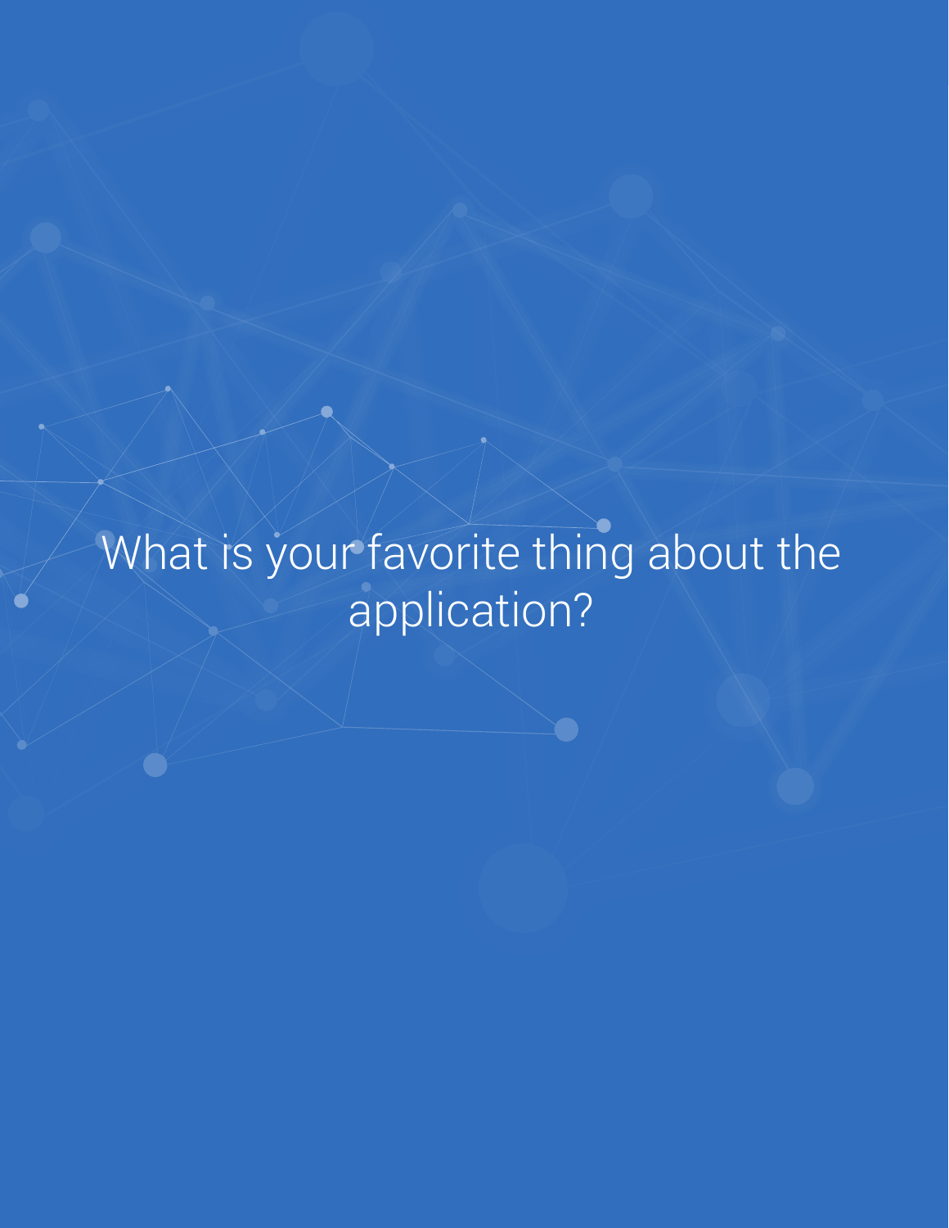# What is your favorite thing about the application?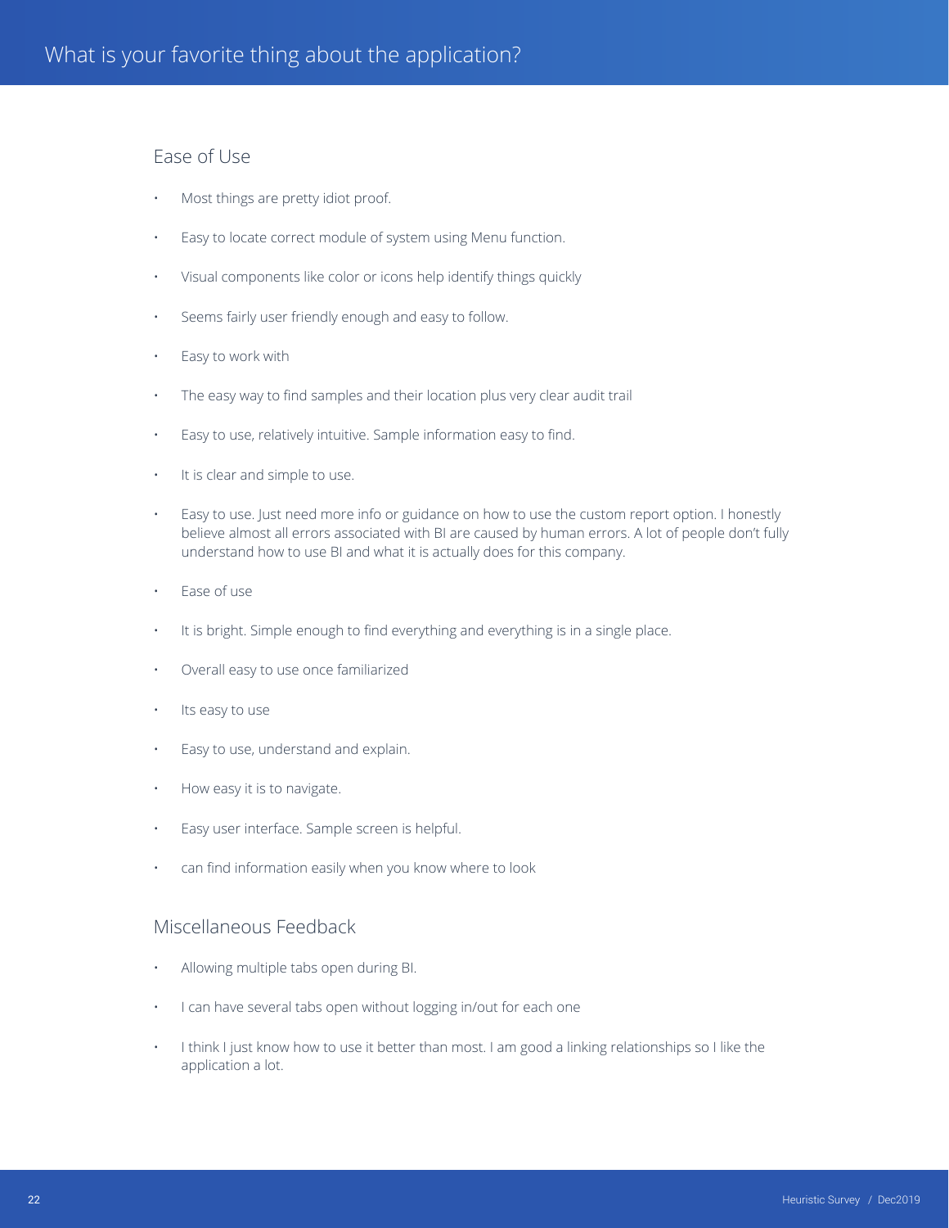## Ease of Use

- Most things are pretty idiot proof.
- Easy to locate correct module of system using Menu function.
- Visual components like color or icons help identify things quickly
- Seems fairly user friendly enough and easy to follow.
- Easy to work with
- The easy way to find samples and their location plus very clear audit trail
- Easy to use, relatively intuitive. Sample information easy to find.
- It is clear and simple to use.
- Easy to use. Just need more info or guidance on how to use the custom report option. I honestly believe almost all errors associated with BI are caused by human errors. A lot of people don't fully understand how to use BI and what it is actually does for this company.
- Ease of use
- It is bright. Simple enough to find everything and everything is in a single place.
- Overall easy to use once familiarized
- Its easy to use
- Easy to use, understand and explain.
- How easy it is to navigate.
- Easy user interface. Sample screen is helpful.
- can find information easily when you know where to look

#### Miscellaneous Feedback

- Allowing multiple tabs open during BI.
- I can have several tabs open without logging in/out for each one
- I think I just know how to use it better than most. I am good a linking relationships so I like the application a lot.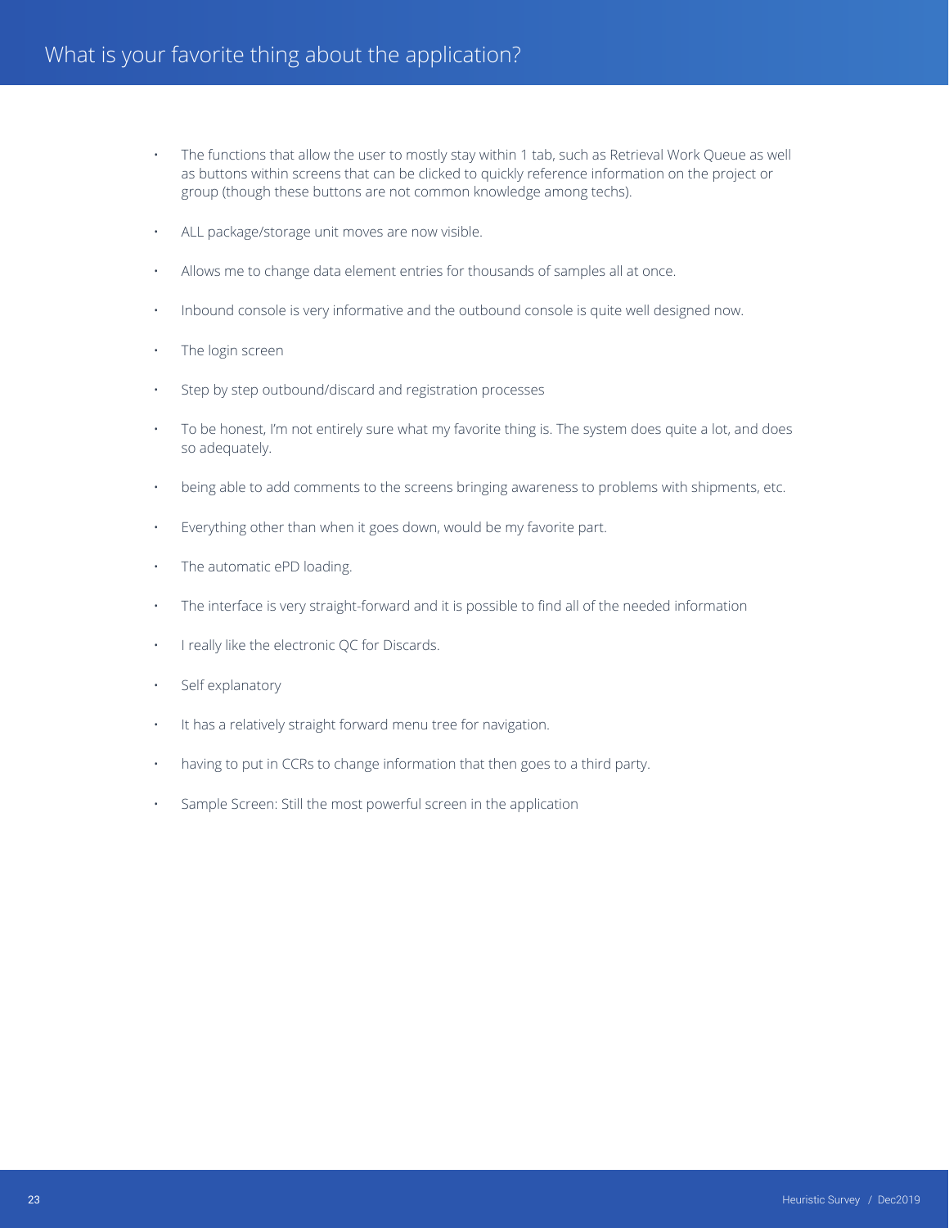- The functions that allow the user to mostly stay within 1 tab, such as Retrieval Work Queue as well as buttons within screens that can be clicked to quickly reference information on the project or group (though these buttons are not common knowledge among techs).
- ALL package/storage unit moves are now visible.
- Allows me to change data element entries for thousands of samples all at once.
- Inbound console is very informative and the outbound console is quite well designed now.
- The login screen
- Step by step outbound/discard and registration processes
- To be honest, I'm not entirely sure what my favorite thing is. The system does quite a lot, and does so adequately.
- being able to add comments to the screens bringing awareness to problems with shipments, etc.
- Everything other than when it goes down, would be my favorite part.
- The automatic ePD loading.
- The interface is very straight-forward and it is possible to find all of the needed information
- I really like the electronic QC for Discards.
- Self explanatory
- It has a relatively straight forward menu tree for navigation.
- having to put in CCRs to change information that then goes to a third party.
- Sample Screen: Still the most powerful screen in the application